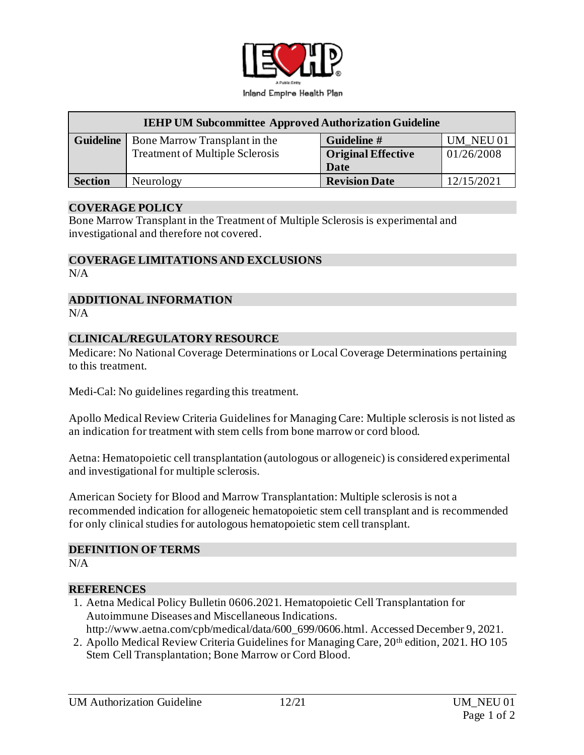

| <b>IEHP UM Subcommittee Approved Authorization Guideline</b> |                                        |                           |            |
|--------------------------------------------------------------|----------------------------------------|---------------------------|------------|
| <b>Guideline</b>                                             | Bone Marrow Transplant in the          | Guideline #               | UM NEU 01  |
|                                                              | <b>Treatment of Multiple Sclerosis</b> | <b>Original Effective</b> | 01/26/2008 |
|                                                              |                                        | Date                      |            |
| <b>Section</b>                                               | Neurology                              | <b>Revision Date</b>      | 12/15/2021 |

### **COVERAGE POLICY**

Bone Marrow Transplant in the Treatment of Multiple Sclerosis is experimental and investigational and therefore not covered.

### **COVERAGE LIMITATIONS AND EXCLUSIONS**

N/A

#### **ADDITIONAL INFORMATION**  $N/A$

### **CLINICAL/REGULATORY RESOURCE**

Medicare: No National Coverage Determinations or Local Coverage Determinations pertaining to this treatment.

Medi-Cal: No guidelines regarding this treatment.

Apollo Medical Review Criteria Guidelines for Managing Care: Multiple sclerosis is not listed as an indication for treatment with stem cells from bone marrow or cord blood.

Aetna: Hematopoietic cell transplantation (autologous or allogeneic) is considered experimental and investigational for multiple sclerosis.

American Society for Blood and Marrow Transplantation: Multiple sclerosis is not a recommended indication for allogeneic hematopoietic stem cell transplant and is recommended for only clinical studies for autologous hematopoietic stem cell transplant.

#### **DEFINITION OF TERMS**

 $N/A$ 

## **REFERENCES**

- 1. Aetna Medical Policy Bulletin 0606.2021. Hematopoietic Cell Transplantation for Autoimmune Diseases and Miscellaneous Indications. [http://www.aetna.com/cpb/medical/data/600\\_699/0606.html](http://www.aetna.com/cpb/medical/data/600_699/0606.html). Accessed December 9, 2021.
- 2. Apollo Medical Review Criteria Guidelines for Managing Care, 20<sup>th</sup> edition, 2021. HO 105 Stem Cell Transplantation; Bone Marrow or Cord Blood.